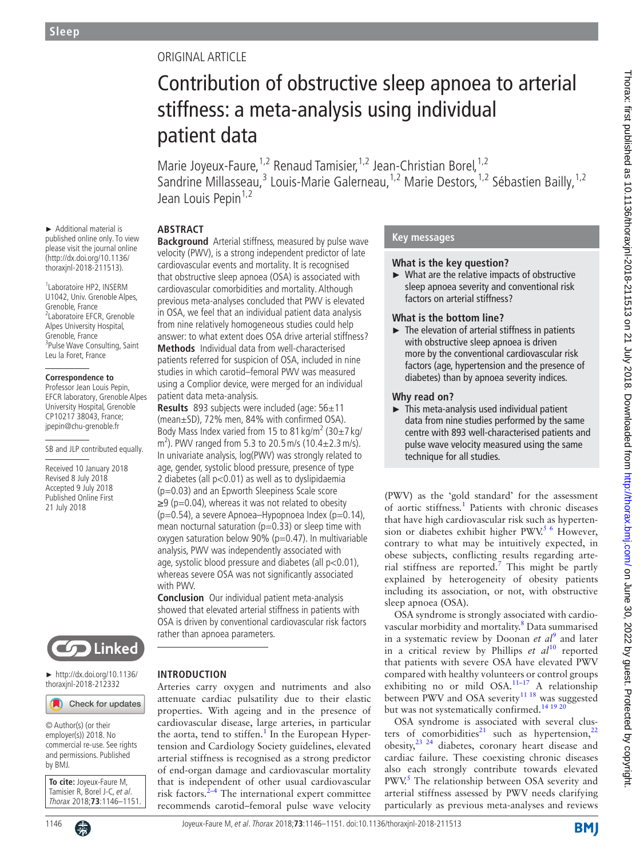# Original article

# Contribution of obstructive sleep apnoea to arterial stiffness: a meta-analysis using individual patient data

Marie Joyeux-Faure, <sup>1,2</sup> Renaud Tamisier, <sup>1,2</sup> Jean-Christian Borel, <sup>1,2</sup> Sandrine Millasseau,<sup>3</sup> Louis-Marie Galerneau,<sup>1,2</sup> Marie Destors,<sup>1,2</sup> Sébastien Bailly,<sup>1,2</sup> Jean Louis Pepin<sup>1,2</sup>

# **Abstract**

► Additional material is published online only. To view please visit the journal online (http://dx.doi.org/10.1136/ thoraxjnl-2018-211513).

1 Laboratoire HP2, INSERM U1042, Univ. Grenoble Alpes, Grenoble, France 2 Laboratoire EFCR, Grenoble Alpes University Hospital, Grenoble, France <sup>3</sup>Pulse Wave Consulting, Saint Leu la Foret, France

#### **Correspondence to**

Professor Jean Louis Pepin, EFCR laboratory, Grenoble Alpes University Hospital, Grenoble CP10217 38043, France; jpepin@chu-grenoble.fr

SB and JLP contributed equally.

Received 10 January 2018 Revised 8 July 2018 Accepted 9 July 2018 Published Online First 21 July 2018



► [http://dx.doi.org/10.1136/](http://dx.doi.org/10.1136/thoraxjnl-2018-212332) [thoraxjnl-2018-212332](http://dx.doi.org/10.1136/thoraxjnl-2018-212332)

#### Check for updates

© Author(s) (or their employer(s)) 2018. No commercial re-use. See rights and permissions. Published by BMJ.

**To cite:** Joyeux-Faure M, Tamisier R, Borel J-C, et al. Thorax 2018;**73**:1146–1151.



**Background** Arterial stiffness, measured by pulse wave velocity (PWV), is a strong independent predictor of late cardiovascular events and mortality. It is recognised that obstructive sleep apnoea (OSA) is associated with cardiovascular comorbidities and mortality. Although previous meta-analyses concluded that PWV is elevated in OSA, we feel that an individual patient data analysis from nine relatively homogeneous studies could help answer: to what extent does OSA drive arterial stiffness? **Methods** Individual data from well-characterised patients referred for suspicion of OSA, included in nine studies in which carotid–femoral PWV was measured using a Complior device, were merged for an individual patient data meta-analysis.

**Results** 893 subjects were included (age: 56±11 (mean±SD), 72% men, 84% with confirmed OSA). Body Mass Index varied from 15 to 81 kg/m<sup>2</sup> (30 $\pm$ 7 kg/  $\text{m}^2$ ). PWV ranged from 5.3 to 20.5 m/s (10.4 $\pm$ 2.3 m/s). In univariate analysis, log(PWV) was strongly related to age, gender, systolic blood pressure, presence of type 2 diabetes (all p<0.01) as well as to dyslipidaemia (p=0.03) and an Epworth Sleepiness Scale score  $\geq$ 9 (p=0.04), whereas it was not related to obesity  $(p=0.54)$ , a severe Apnoea-Hypopnoea Index  $(p=0.14)$ , mean nocturnal saturation ( $p=0.33$ ) or sleep time with oxygen saturation below 90% ( $p=0.47$ ). In multivariable analysis, PWV was independently associated with age, systolic blood pressure and diabetes (all p<0.01), whereas severe OSA was not significantly associated with PWV.

**Conclusion** Our individual patient meta-analysis showed that elevated arterial stiffness in patients with OSA is driven by conventional cardiovascular risk factors rather than apnoea parameters.

#### **Introduction**

Arteries carry oxygen and nutriments and also attenuate cardiac pulsatility due to their elastic properties. With ageing and in the presence of cardiovascular disease, large arteries, in particular the aorta, tend to stiffen.<sup>[1](#page-5-0)</sup> In the European Hypertension and Cardiology Society guidelines, elevated arterial stiffness is recognised as a strong predictor of end-organ damage and cardiovascular mortality that is independent of other usual cardiovascular risk factors. $2-4$  The international expert committee recommends carotid–femoral pulse wave velocity

# **Key messages**

# **What is the key question?**

► What are the relative impacts of obstructive sleep apnoea severity and conventional risk factors on arterial stiffness?

# **What is the bottom line?**

 $\blacktriangleright$  The elevation of arterial stiffness in patients with obstructive sleep apnoea is driven more by the conventional cardiovascular risk factors (age, hypertension and the presence of diabetes) than by apnoea severity indices.

#### **Why read on?**

 $\blacktriangleright$  This meta-analysis used individual patient data from nine studies performed by the same centre with 893 well-characterised patients and pulse wave velocity measured using the same technique for all studies.

(PWV) as the 'gold standard' for the assessment of aortic stiffness.<sup>[1](#page-5-0)</sup> Patients with chronic diseases that have high cardiovascular risk such as hypertension or diabetes exhibit higher PWV.<sup>5 6</sup> However, contrary to what may be intuitively expected, in obese subjects, conflicting results regarding arte-rial stiffness are reported.<sup>[7](#page-5-3)</sup> This might be partly explained by heterogeneity of obesity patients including its association, or not, with obstructive sleep apnoea (OSA).

OSA syndrome is strongly associated with cardio-vascular morbidity and mortality.<sup>[8](#page-5-4)</sup> Data summarised in a systematic review by Doonan *et*  $al^9$  $al^9$  and later in a critical review by Phillips *et al*<sup>10</sup> reported that patients with severe OSA have elevated PWV compared with healthy volunteers or control groups exhibiting no or mild OSA.<sup>11-17</sup> A relationship between PWV and OSA severity<sup>11 18</sup> was suggested but was not systematically confirmed.<sup>[14 19 20](#page-5-8)</sup>

OSA syndrome is associated with several clusters of comorbidities<sup>21</sup> such as hypertension,  $2^2$ obesity[,23 24](#page-5-11) diabetes, coronary heart disease and cardiac failure. These coexisting chronic diseases also each strongly contribute towards elevated PWV.<sup>[5](#page-5-2)</sup> The relationship between OSA severity and arterial stiffness assessed by PWV needs clarifying particularly as previous meta-analyses and reviews

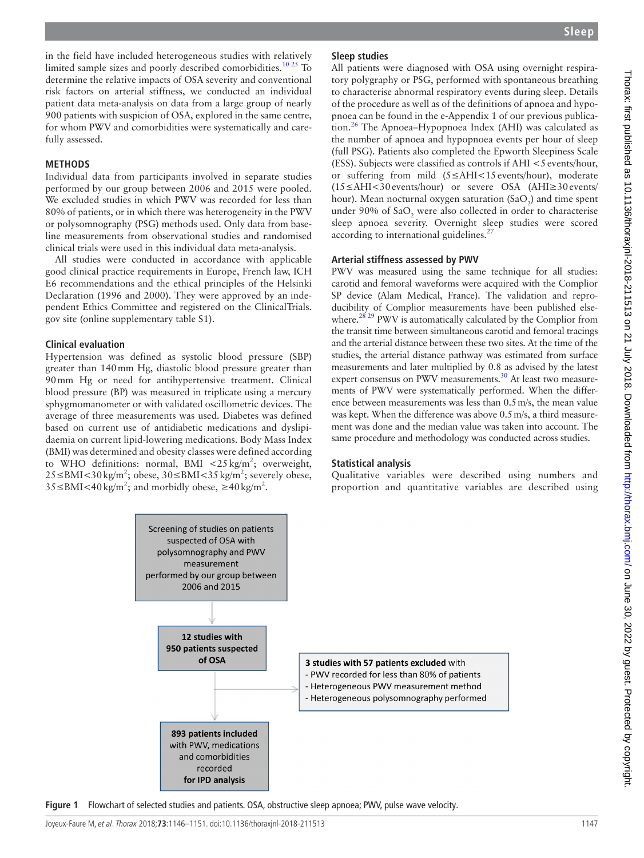in the field have included heterogeneous studies with relatively limited sample sizes and poorly described comorbidities.<sup>10 25</sup> To determine the relative impacts of OSA severity and conventional risk factors on arterial stiffness, we conducted an individual patient data meta-analysis on data from a large group of nearly 900 patients with suspicion of OSA, explored in the same centre, for whom PWV and comorbidities were systematically and carefully assessed.

#### **Methods**

Individual data from participants involved in separate studies performed by our group between 2006 and 2015 were pooled. We excluded studies in which PWV was recorded for less than 80% of patients, or in which there was heterogeneity in the PWV or polysomnography (PSG) methods used. Only data from baseline measurements from observational studies and randomised clinical trials were used in this individual data meta-analysis.

All studies were conducted in accordance with applicable good clinical practice requirements in Europe, French law, ICH E6 recommendations and the ethical principles of the Helsinki Declaration (1996 and 2000). They were approved by an independent Ethics Committee and registered on the ClinicalTrials. gov site (online [supplementary table S1](https://dx.doi.org/10.1136/thoraxjnl-2018-211513)).

#### **Clinical evaluation**

Hypertension was defined as systolic blood pressure (SBP) greater than 140mm Hg, diastolic blood pressure greater than 90mm Hg or need for antihypertensive treatment. Clinical blood pressure (BP) was measured in triplicate using a mercury sphygmomanometer or with validated oscillometric devices. The average of three measurements was used. Diabetes was defined based on current use of antidiabetic medications and dyslipidaemia on current lipid-lowering medications. Body Mass Index (BMI) was determined and obesity classes were defined according to WHO definitions: normal, BMI <25 kg/m<sup>2</sup>; overweight, 25 ≤BMI < 30 kg/m<sup>2</sup>; obese, 30 ≤BMI < 35 kg/m<sup>2</sup>; severely obese,  $35 \leq BMI < 40 \text{ kg/m}^2$ ; and morbidly obese,  $\geq 40 \text{ kg/m}^2$ .

### **Sleep studies**

All patients were diagnosed with OSA using overnight respiratory polygraphy or PSG, performed with spontaneous breathing to characterise abnormal respiratory events during sleep. Details of the procedure as well as of the definitions of apnoea and hypopnoea can be found in the e-Appendix 1 of our previous publica-tion.<sup>[26](#page-5-12)</sup> The Apnoea–Hypopnoea Index (AHI) was calculated as the number of apnoea and hypopnoea events per hour of sleep (full PSG). Patients also completed the Epworth Sleepiness Scale (ESS). Subjects were classified as controls if  $AHI < 5$  events/hour, or suffering from mild (5≤AHI<15 events/hour), moderate (15≤AHI<30 events/hour) or severe OSA (AHI≥30 events/ hour). Mean nocturnal oxygen saturation (SaO<sub>2</sub>) and time spent under 90% of Sa $O_2$  were also collected in order to characterise sleep apnoea severity. Overnight sleep studies were scored according to international guidelines.<sup>27</sup>

#### **Arterial stiffness assessed by PWV**

PWV was measured using the same technique for all studies: carotid and femoral waveforms were acquired with the Complior SP device (Alam Medical, France). The validation and reproducibility of Complior measurements have been published elsewhere.<sup>28 29</sup> PWV is automatically calculated by the Complior from the transit time between simultaneous carotid and femoral tracings and the arterial distance between these two sites. At the time of the studies, the arterial distance pathway was estimated from surface measurements and later multiplied by 0.8 as advised by the latest expert consensus on PWV measurements.<sup>30</sup> At least two measurements of PWV were systematically performed. When the difference between measurements was less than 0.5m/s, the mean value was kept. When the difference was above 0.5m/s, a third measurement was done and the median value was taken into account. The same procedure and methodology was conducted across studies.

#### **Statistical analysis**

Qualitative variables were described using numbers and proportion and quantitative variables are described using



<span id="page-1-0"></span>**Figure 1** Flowchart of selected studies and patients. OSA, obstructive sleep apnoea; PWV, pulse wave velocity.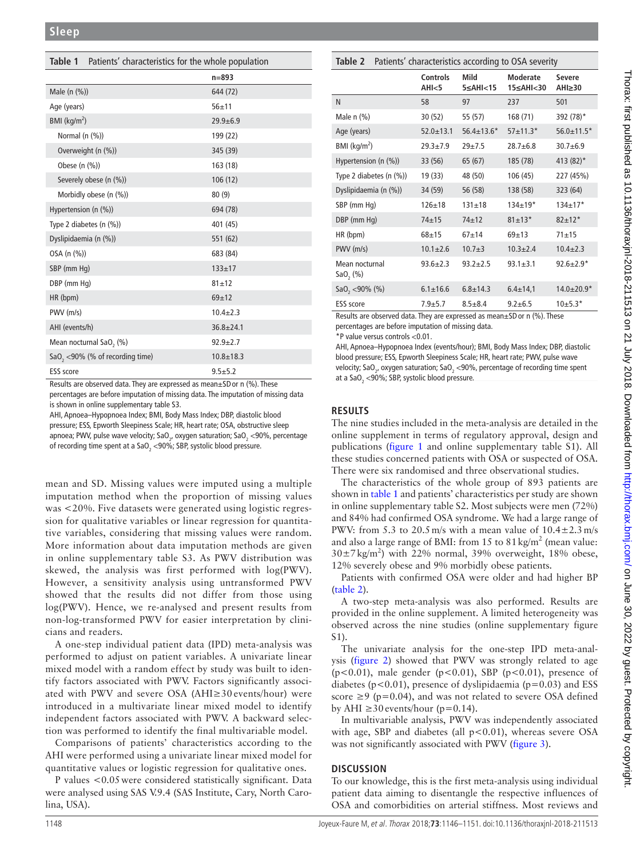<span id="page-2-0"></span>

| Table 1 Patients' characteristics for the whole population   |                |  |  |  |  |
|--------------------------------------------------------------|----------------|--|--|--|--|
|                                                              | $n = 893$      |  |  |  |  |
| Male (n (%))                                                 | 644 (72)       |  |  |  |  |
| Age (years)                                                  | $56 + 11$      |  |  |  |  |
| BMI (kg/m <sup>2</sup> )                                     | $29.9 + 6.9$   |  |  |  |  |
| Normal (n (%))                                               | 199 (22)       |  |  |  |  |
| Overweight (n (%))                                           | 345 (39)       |  |  |  |  |
| Obese (n (%))                                                | 163 (18)       |  |  |  |  |
| Severely obese (n (%))                                       | 106(12)        |  |  |  |  |
| Morbidly obese (n (%))                                       | 80(9)          |  |  |  |  |
| Hypertension (n $(\%)$ )                                     | 694 (78)       |  |  |  |  |
| Type 2 diabetes $(n \ (\%))$                                 | 401 (45)       |  |  |  |  |
| Dyslipidaemia (n (%))                                        | 551 (62)       |  |  |  |  |
| OSA (n (%))                                                  | 683 (84)       |  |  |  |  |
| SBP (mm Hq)                                                  | $133 + 17$     |  |  |  |  |
| DBP (mm Hg)                                                  | $81 + 12$      |  |  |  |  |
| HR (bpm)                                                     | $69+12$        |  |  |  |  |
| $PWV$ ( $m/s$ )                                              | $10.4 + 2.3$   |  |  |  |  |
| AHI (events/h)                                               | $36.8 + 24.1$  |  |  |  |  |
| Mean nocturnal SaO, (%)                                      | $92.9 \pm 2.7$ |  |  |  |  |
| SaO <sub>2</sub> <90% (% of recording time)<br>$10.8 + 18.3$ |                |  |  |  |  |
| <b>ESS</b> score                                             | $9.5 + 5.2$    |  |  |  |  |

Results are observed data. They are expressed as mean±SDor n (%). These percentages are before imputation of missing data. The imputation of missing data is shown in online [supplementary table S3.](https://dx.doi.org/10.1136/thoraxjnl-2018-211513)

AHI, Apnoea–Hypopnoea Index; BMI, Body Mass Index; DBP, diastolic blood pressure; ESS, Epworth Sleepiness Scale; HR, heart rate; OSA, obstructive sleep apnoea; PWV, pulse wave velocity; SaO<sub>2</sub>, oxygen saturation; SaO<sub>2</sub> <90%, percentage of recording time spent at a SaO $_{\rm 2}$  <90%; SBP, systolic blood pressure.

mean and SD. Missing values were imputed using a multiple imputation method when the proportion of missing values was <20%. Five datasets were generated using logistic regression for qualitative variables or linear regression for quantitative variables, considering that missing values were random. More information about data imputation methods are given in online [supplementary table S3.](https://dx.doi.org/10.1136/thoraxjnl-2018-211513) As PWV distribution was skewed, the analysis was first performed with log(PWV). However, a sensitivity analysis using untransformed PWV showed that the results did not differ from those using log(PWV). Hence, we re-analysed and present results from non-log-transformed PWV for easier interpretation by clinicians and readers.

A one-step individual patient data (IPD) meta-analysis was performed to adjust on patient variables. A univariate linear mixed model with a random effect by study was built to identify factors associated with PWV. Factors significantly associated with PWV and severe OSA (AHI≥30 events/hour) were introduced in a multivariate linear mixed model to identify independent factors associated with PWV. A backward selection was performed to identify the final multivariable model.

Comparisons of patients' characteristics according to the AHI were performed using a univariate linear mixed model for quantitative values or logistic regression for qualitative ones.

P values <0.05were considered statistically significant. Data were analysed using SAS V.9.4 (SAS Institute, Cary, North Carolina, USA).

<span id="page-2-1"></span>

|  |  | Table 2 Patients' characteristics according to OSA severity |  |  |  |
|--|--|-------------------------------------------------------------|--|--|--|
|--|--|-------------------------------------------------------------|--|--|--|

|                                        | Controls<br>AHI <sub>5</sub> | Mild<br>$5 \leq$ AHI<15 | Moderate<br>15≤AHI<30 | <b>Severe</b><br>$AHI \geq 30$ |
|----------------------------------------|------------------------------|-------------------------|-----------------------|--------------------------------|
| N                                      | 58                           | 97                      | 237                   | 501                            |
| Male n (%)                             | 30 (52)                      | 55 (57)                 | 168 (71)              | 392 (78)*                      |
| Age (years)                            | $52.0 + 13.1$                | $56.4 \pm 13.6*$        | $57 + 11.3*$          | $56.0 \pm 11.5*$               |
| BMI (kg/m <sup>2</sup> )               | $29.3 + 7.9$                 | $29 + 7.5$              | $28.7 + 6.8$          | $30.7 + 6.9$                   |
| Hypertension (n $(\%)$ )               | 33 (56)                      | 65 (67)                 | 185 (78)              | 413 (82)*                      |
| Type 2 diabetes (n (%))                | 19 (33)                      | 48 (50)                 | 106 (45)              | 227 (45%)                      |
| Dyslipidaemia (n (%))                  | 34 (59)                      | 56 (58)                 | 138 (58)              | 323 (64)                       |
| SBP (mm Hq)                            | $126 + 18$                   | $131 + 18$              | $134+19*$             | $134+17*$                      |
| DBP (mm Hg)                            | $74 + 15$                    | $74 + 12$               | $81 \pm 13*$          | $82 + 12*$                     |
| HR (bpm)                               | $68 + 15$                    | $67 + 14$               | $69 + 13$             | $71 + 15$                      |
| PWV (m/s)                              | $10.1 \pm 2.6$               | $10.7 + 3$              | $10.3 + 2.4$          | $10.4 \pm 2.3$                 |
| Mean nocturnal<br>SaO <sub>2</sub> (%) | $93.6 \pm 2.3$               | $93.2 + 2.5$            | $93.1 \pm 3.1$        | $92.6 \pm 2.9*$                |
| SaO <sub>2</sub> <90% (%)              | $6.1 \pm 16.6$               | $6.8 \pm 14.3$          | $6.4 \pm 14.1$        | $14.0 \pm 20.9*$               |
| <b>ESS</b> score                       | $7.9 + 5.7$                  | $8.5 + 8.4$             | $9.2 + 6.5$           | $10+5.3*$                      |

Results are observed data. They are expressed as mean±SDor n (%). These percentages are before imputation of missing data.

\*P value versus controls <0.01.

AHI, Apnoea–Hypopnoea Index (events/hour); BMI, Body Mass Index; DBP, diastolic blood pressure; ESS, Epworth Sleepiness Scale; HR, heart rate; PWV, pulse wave velocity; SaO<sub>2</sub>, oxygen saturation; SaO<sub>2</sub> <90%, percentage of recording time spent at a SaO<sub>2</sub> <90%; SBP, systolic blood pressure.

# **Results**

The nine studies included in the meta-analysis are detailed in the online supplement in terms of regulatory approval, design and publications [\(figure](#page-1-0) 1 and online [supplementary table S1](https://dx.doi.org/10.1136/thoraxjnl-2018-211513)). All these studies concerned patients with OSA or suspected of OSA. There were six randomised and three observational studies.

The characteristics of the whole group of 893 patients are shown in [table](#page-2-0) 1 and patients' characteristics per study are shown in online [supplementary table S2](https://dx.doi.org/10.1136/thoraxjnl-2018-211513). Most subjects were men (72%) and 84% had confirmed OSA syndrome. We had a large range of PWV: from 5.3 to 20.5 m/s with a mean value of  $10.4 \pm 2.3$  m/s and also a large range of BMI: from 15 to  $81 \text{ kg/m}^2$  (mean value:  $30\pm7\,\text{kg/m}^2$ ) with 22% normal, 39% overweight, 18% obese, 12% severely obese and 9% morbidly obese patients.

Patients with confirmed OSA were older and had higher BP ([table](#page-2-1) 2).

A two-step meta-analysis was also performed. Results are provided in the online supplement. A limited heterogeneity was observed across the nine studies (online [supplementary figure](https://dx.doi.org/10.1136/thoraxjnl-2018-211513) [S1](https://dx.doi.org/10.1136/thoraxjnl-2018-211513)).

The univariate analysis for the one-step IPD meta-analysis [\(figure](#page-3-0) 2) showed that PWV was strongly related to age ( $p$ <0.01), male gender ( $p$ <0.01), SBP ( $p$ <0.01), presence of diabetes ( $p < 0.01$ ), presence of dyslipidaemia ( $p = 0.03$ ) and ESS score  $\geq$ 9 (p=0.04), and was not related to severe OSA defined by AHI  $\geq$ 30 events/hour (p=0.14).

In multivariable analysis, PWV was independently associated with age, SBP and diabetes (all  $p<0.01$ ), whereas severe OSA was not significantly associated with PWV ([figure](#page-3-1) 3).

# **Discussion**

To our knowledge, this is the first meta-analysis using individual patient data aiming to disentangle the respective influences of OSA and comorbidities on arterial stiffness. Most reviews and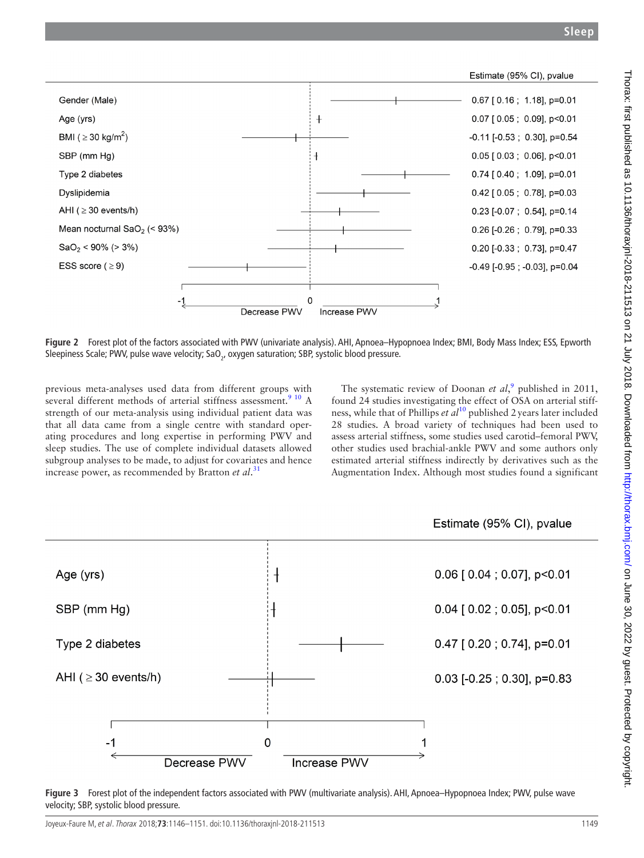

<span id="page-3-0"></span>**Figure 2** Forest plot of the factors associated with PWV (univariate analysis). AHI, Apnoea–Hypopnoea Index; BMI, Body Mass Index; ESS, Epworth Sleepiness Scale; PWV, pulse wave velocity; SaO<sub>2</sub>, oxygen saturation; SBP, systolic blood pressure.

previous meta-analyses used data from different groups with several different methods of arterial stiffness assessment.<sup>9</sup> <sup>10</sup> A strength of our meta-analysis using individual patient data was that all data came from a single centre with standard operating procedures and long expertise in performing PWV and sleep studies. The use of complete individual datasets allowed subgroup analyses to be made, to adjust for covariates and hence increase power, as recommended by Bratton *et al*. [31](#page-5-16)

Age (yrs)

SBP (mm Hg)

Type 2 diabetes

AHI ( $\geq$  30 events/h)

 $-1$ 

The systematic review of Doonan *et al*,<sup>[9](#page-5-5)</sup> published in 2011, found 24 studies investigating the effect of OSA on arterial stiffness, while that of Phillips *et al*[10](#page-5-6) published 2years later included 28 studies. A broad variety of techniques had been used to assess arterial stiffness, some studies used carotid–femoral PWV, other studies used brachial-ankle PWV and some authors only estimated arterial stiffness indirectly by derivatives such as the Augmentation Index. Although most studies found a significant



1



 $0.47$  [  $0.20$  ;  $0.74$ ],  $p=0.01$ 



<span id="page-3-1"></span>

**Increase PWV** 

 $\overline{0}$ 

Decrease PWV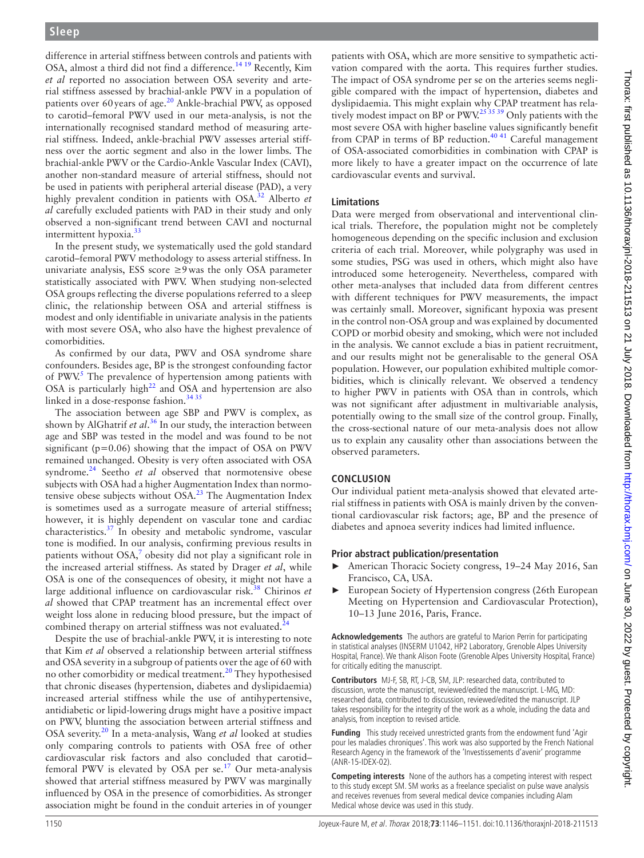difference in arterial stiffness between controls and patients with OSA, almost a third did not find a difference.<sup>[14 19](#page-5-8)</sup> Recently, Kim *et al* reported no association between OSA severity and arterial stiffness assessed by brachial-ankle PWV in a population of patients over 60years of age[.20](#page-5-17) Ankle-brachial PWV, as opposed to carotid–femoral PWV used in our meta-analysis, is not the internationally recognised standard method of measuring arterial stiffness. Indeed, ankle-brachial PWV assesses arterial stiffness over the aortic segment and also in the lower limbs. The brachial-ankle PWV or the Cardio-Ankle Vascular Index (CAVI), another non-standard measure of arterial stiffness, should not be used in patients with peripheral arterial disease (PAD), a very highly prevalent condition in patients with OSA[.32](#page-5-18) Alberto *et al* carefully excluded patients with PAD in their study and only observed a non-significant trend between CAVI and nocturnal intermittent hypoxia[.33](#page-5-19)

In the present study, we systematically used the gold standard carotid–femoral PWV methodology to assess arterial stiffness. In univariate analysis, ESS score ≥9 was the only OSA parameter statistically associated with PWV. When studying non-selected OSA groups reflecting the diverse populations referred to a sleep clinic, the relationship between OSA and arterial stiffness is modest and only identifiable in univariate analysis in the patients with most severe OSA, who also have the highest prevalence of comorbidities.

As confirmed by our data, PWV and OSA syndrome share confounders. Besides age, BP is the strongest confounding factor of PWV.<sup>5</sup> The prevalence of hypertension among patients with OSA is particularly high<sup>[22](#page-5-10)</sup> and OSA and hypertension are also linked in a dose-response fashion. $3435$ 

The association between age SBP and PWV is complex, as shown by AlGhatrif *et al*. [36](#page-5-21) In our study, the interaction between age and SBP was tested in the model and was found to be not significant ( $p=0.06$ ) showing that the impact of OSA on PWV remained unchanged. Obesity is very often associated with OSA syndrome.<sup>[24](#page-5-22)</sup> Seetho *et al* observed that normotensive obese subjects with OSA had a higher Augmentation Index than normotensive obese subjects without  $OSA<sup>23</sup>$  $OSA<sup>23</sup>$  $OSA<sup>23</sup>$  The Augmentation Index is sometimes used as a surrogate measure of arterial stiffness; however, it is highly dependent on vascular tone and cardiac characteristics.[37](#page-5-23) In obesity and metabolic syndrome, vascular tone is modified. In our analysis, confirming previous results in patients without  $OSA$ , obesity did not play a significant role in the increased arterial stiffness. As stated by Drager *et al*, while OSA is one of the consequences of obesity, it might not have a large additional influence on cardiovascular risk.[38](#page-5-24) Chirinos *et al* showed that CPAP treatment has an incremental effect over weight loss alone in reducing blood pressure, but the impact of combined therapy on arterial stiffness was not evaluated.<sup>2</sup>

Despite the use of brachial-ankle PWV, it is interesting to note that Kim *et al* observed a relationship between arterial stiffness and OSA severity in a subgroup of patients over the age of 60 with no other comorbidity or medical treatment.<sup>20</sup> They hypothesised that chronic diseases (hypertension, diabetes and dyslipidaemia) increased arterial stiffness while the use of antihypertensive, antidiabetic or lipid-lowering drugs might have a positive impact on PWV, blunting the association between arterial stiffness and OSA severity.[20](#page-5-17) In a meta-analysis, Wang *et al* looked at studies only comparing controls to patients with OSA free of other cardiovascular risk factors and also concluded that carotid– femoral PWV is elevated by OSA per  $se^{17}$  Our meta-analysis showed that arterial stiffness measured by PWV was marginally influenced by OSA in the presence of comorbidities. As stronger association might be found in the conduit arteries in of younger

patients with OSA, which are more sensitive to sympathetic activation compared with the aorta. This requires further studies. The impact of OSA syndrome per se on the arteries seems negligible compared with the impact of hypertension, diabetes and dyslipidaemia. This might explain why CPAP treatment has relatively modest impact on BP or  $\frac{1}{2}$  PWV.<sup>25'35'39</sup> Only patients with the most severe OSA with higher baseline values significantly benefit from CPAP in terms of BP reduction.<sup>[40 41](#page-5-27)</sup> Careful management of OSA-associated comorbidities in combination with CPAP is more likely to have a greater impact on the occurrence of late cardiovascular events and survival.

### **Limitations**

Data were merged from observational and interventional clinical trials. Therefore, the population might not be completely homogeneous depending on the specific inclusion and exclusion criteria of each trial. Moreover, while polygraphy was used in some studies, PSG was used in others, which might also have introduced some heterogeneity. Nevertheless, compared with other meta-analyses that included data from different centres with different techniques for PWV measurements, the impact was certainly small. Moreover, significant hypoxia was present in the control non-OSA group and was explained by documented COPD or morbid obesity and smoking, which were not included in the analysis. We cannot exclude a bias in patient recruitment, and our results might not be generalisable to the general OSA population. However, our population exhibited multiple comorbidities, which is clinically relevant. We observed a tendency to higher PWV in patients with OSA than in controls, which was not significant after adjustment in multivariable analysis, potentially owing to the small size of the control group. Finally, the cross-sectional nature of our meta-analysis does not allow us to explain any causality other than associations between the observed parameters.

#### **Conclusion**

Our individual patient meta-analysis showed that elevated arterial stiffness in patients with OSA is mainly driven by the conventional cardiovascular risk factors; age, BP and the presence of diabetes and apnoea severity indices had limited influence.

#### **Prior abstract publication/presentation**

- American Thoracic Society congress, 19-24 May 2016, San Francisco, CA, USA.
- ► European Society of Hypertension congress (26th European Meeting on Hypertension and Cardiovascular Protection), 10–13 June 2016, Paris, France.

**Acknowledgements** The authors are grateful to Marion Perrin for participating in statistical analyses (INSERM U1042, HP2 Laboratory, Grenoble Alpes University Hospital, France). We thank Alison Foote (Grenoble Alpes University Hospital, France) for critically editing the manuscript.

**Contributors** MJ-F, SB, RT, J-CB, SM, JLP: researched data, contributed to discussion, wrote the manuscript, reviewed/edited the manuscript. L-MG, MD: researched data, contributed to discussion, reviewed/edited the manuscript. JLP takes responsibility for the integrity of the work as a whole, including the data and analysis, from inception to revised article.

**Funding** This study received unrestricted grants from the endowment fund 'Agir pour les maladies chroniques'. This work was also supported by the French National Research Agency in the framework of the 'Investissements d'avenir' programme (ANR-15-IDEX-02).

**Competing interests** None of the authors has a competing interest with respect to this study except SM. SM works as a freelance specialist on pulse wave analysis and receives revenues from several medical device companies including Alam Medical whose device was used in this study.